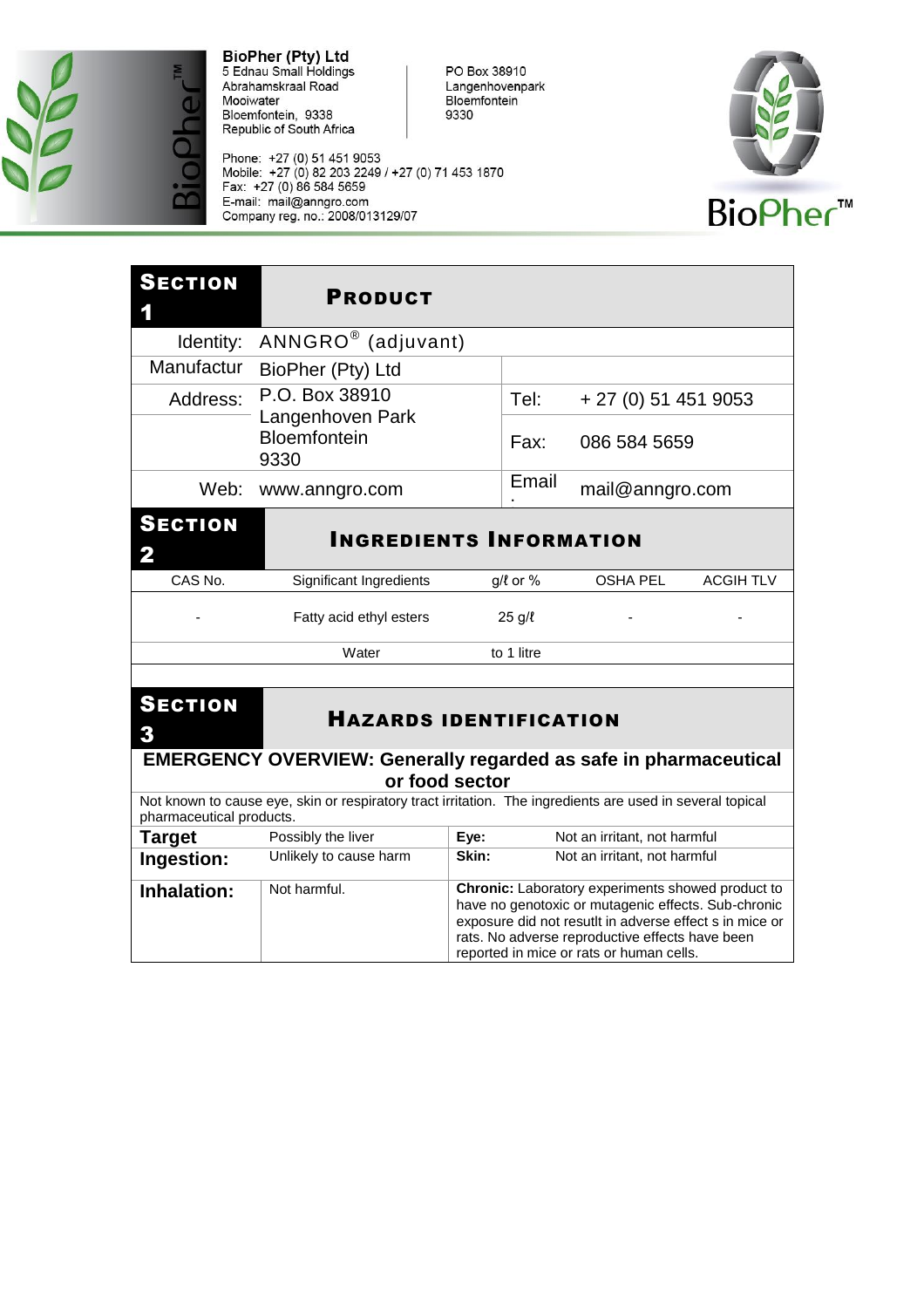

Phone: +27 (0) 51 451 9053<br>Mobile: +27 (0) 82 203 2249 / +27 (0) 71 453 1870<br>Fax: +27 (0) 86 584 5659 E-mail: mail@anngro.com<br>Company reg. no.: 2008/013129/07



| <b>SECTION</b>                                                                            | <b>PRODUCT</b>                                                                                            |       |                |                                                                                                                                                                                                                        |                  |
|-------------------------------------------------------------------------------------------|-----------------------------------------------------------------------------------------------------------|-------|----------------|------------------------------------------------------------------------------------------------------------------------------------------------------------------------------------------------------------------------|------------------|
| Identity:                                                                                 | ANNGRO® (adjuvant)                                                                                        |       |                |                                                                                                                                                                                                                        |                  |
| Manufactur                                                                                | BioPher (Pty) Ltd                                                                                         |       |                |                                                                                                                                                                                                                        |                  |
| Address:                                                                                  | P.O. Box 38910<br>Langenhoven Park                                                                        |       | Tel:           | $+27(0)514519053$                                                                                                                                                                                                      |                  |
|                                                                                           | <b>Bloemfontein</b><br>9330                                                                               |       | Fax:           | 086 584 5659                                                                                                                                                                                                           |                  |
| Web:                                                                                      | www.anngro.com                                                                                            |       | Email          | mail@anngro.com                                                                                                                                                                                                        |                  |
| <b>SECTION</b><br><b>INGREDIENTS INFORMATION</b><br>$\mathbf 2$                           |                                                                                                           |       |                |                                                                                                                                                                                                                        |                  |
| CAS No.                                                                                   | Significant Ingredients                                                                                   |       | $g/l$ or %     | <b>OSHA PEL</b>                                                                                                                                                                                                        | <b>ACGIH TLV</b> |
|                                                                                           | Fatty acid ethyl esters                                                                                   |       | $25$ g/ $\ell$ |                                                                                                                                                                                                                        |                  |
|                                                                                           | Water                                                                                                     |       | to 1 litre     |                                                                                                                                                                                                                        |                  |
| <b>SECTION</b><br>3                                                                       | <b>HAZARDS IDENTIFICATION</b>                                                                             |       |                |                                                                                                                                                                                                                        |                  |
| <b>EMERGENCY OVERVIEW: Generally regarded as safe in pharmaceutical</b><br>or food sector |                                                                                                           |       |                |                                                                                                                                                                                                                        |                  |
| pharmaceutical products.                                                                  | Not known to cause eye, skin or respiratory tract irritation. The ingredients are used in several topical |       |                |                                                                                                                                                                                                                        |                  |
| <b>Target</b>                                                                             | Possibly the liver                                                                                        | Eye:  |                | Not an irritant, not harmful                                                                                                                                                                                           |                  |
| Ingestion:                                                                                | Unlikely to cause harm                                                                                    | Skin: |                | Not an irritant, not harmful                                                                                                                                                                                           |                  |
| <b>Inhalation:</b>                                                                        | Not harmful.                                                                                              |       |                | Chronic: Laboratory experiments showed product to<br>have no genotoxic or mutagenic effects. Sub-chronic<br>exposure did not resutlt in adverse effect s in mice or<br>rats. No adverse reproductive effects have been |                  |

reported in mice or rats or human cells.

PO Box 38910<br>Langenhovenpark Bloemfontein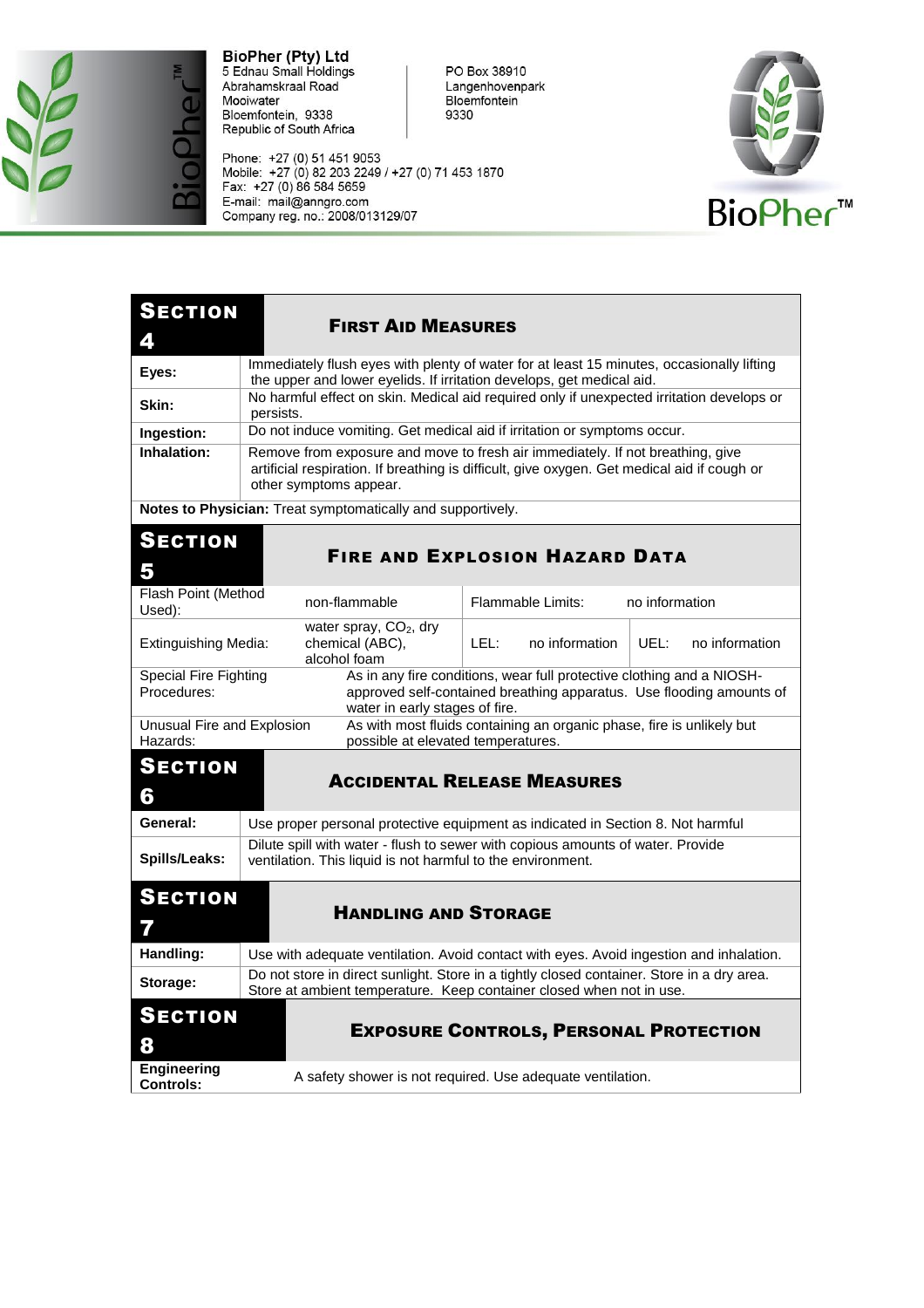

Phone: +27 (0) 51 451 9053<br>Mobile: +27 (0) 82 203 2249 / +27 (0) 71 453 1870<br>Fax: +27 (0) 86 584 5659 E-mail: mail@anngro.com<br>E-mail: mail@anngro.com<br>Company reg. no.: 2008/013129/07



| <b>SECTION</b><br>4                                                                                                                                                                                                     | <b>FIRST AID MEASURES</b>                                                                                                                                                                               |  |  |
|-------------------------------------------------------------------------------------------------------------------------------------------------------------------------------------------------------------------------|---------------------------------------------------------------------------------------------------------------------------------------------------------------------------------------------------------|--|--|
| Eyes:                                                                                                                                                                                                                   | Immediately flush eyes with plenty of water for at least 15 minutes, occasionally lifting<br>the upper and lower eyelids. If irritation develops, get medical aid.                                      |  |  |
| Skin:                                                                                                                                                                                                                   | No harmful effect on skin. Medical aid required only if unexpected irritation develops or<br>persists.                                                                                                  |  |  |
| Ingestion:                                                                                                                                                                                                              | Do not induce vomiting. Get medical aid if irritation or symptoms occur.                                                                                                                                |  |  |
| Inhalation:                                                                                                                                                                                                             | Remove from exposure and move to fresh air immediately. If not breathing, give<br>artificial respiration. If breathing is difficult, give oxygen. Get medical aid if cough or<br>other symptoms appear. |  |  |
| Notes to Physician: Treat symptomatically and supportively.                                                                                                                                                             |                                                                                                                                                                                                         |  |  |
| <b>SECTION</b><br><b>FIRE AND EXPLOSION HAZARD DATA</b><br>5                                                                                                                                                            |                                                                                                                                                                                                         |  |  |
| Flash Point (Method<br>Used):                                                                                                                                                                                           | non-flammable<br><b>Flammable Limits:</b><br>no information                                                                                                                                             |  |  |
| Extinguishing Media:                                                                                                                                                                                                    | water spray, $CO2$ , dry<br>LEL:<br>UEL:<br>chemical (ABC),<br>no information<br>no information<br>alcohol foam                                                                                         |  |  |
| Special Fire Fighting<br>As in any fire conditions, wear full protective clothing and a NIOSH-<br>Procedures:<br>approved self-contained breathing apparatus. Use flooding amounts of<br>water in early stages of fire. |                                                                                                                                                                                                         |  |  |
| Unusual Fire and Explosion<br>Hazards:                                                                                                                                                                                  | As with most fluids containing an organic phase, fire is unlikely but<br>possible at elevated temperatures.                                                                                             |  |  |
| <b>SECTION</b><br>6                                                                                                                                                                                                     | <b>ACCIDENTAL RELEASE MEASURES</b>                                                                                                                                                                      |  |  |
| General:                                                                                                                                                                                                                | Use proper personal protective equipment as indicated in Section 8. Not harmful                                                                                                                         |  |  |
| Spills/Leaks:                                                                                                                                                                                                           | Dilute spill with water - flush to sewer with copious amounts of water. Provide<br>ventilation. This liquid is not harmful to the environment.                                                          |  |  |
| <b>SECTION</b><br>7                                                                                                                                                                                                     | <b>HANDLING AND STORAGE</b>                                                                                                                                                                             |  |  |
| Handling:                                                                                                                                                                                                               | Use with adequate ventilation. Avoid contact with eyes. Avoid ingestion and inhalation.                                                                                                                 |  |  |
| Storage:                                                                                                                                                                                                                | Do not store in direct sunlight. Store in a tightly closed container. Store in a dry area.<br>Store at ambient temperature. Keep container closed when not in use.                                      |  |  |
| <b>SECTION</b><br><b>EXPOSURE CONTROLS, PERSONAL PROTECTION</b><br>8                                                                                                                                                    |                                                                                                                                                                                                         |  |  |
| <b>Engineering</b><br><b>Controls:</b>                                                                                                                                                                                  | A safety shower is not required. Use adequate ventilation.                                                                                                                                              |  |  |

PO Box 38910<br>Langenhovenpark

Bloemfontein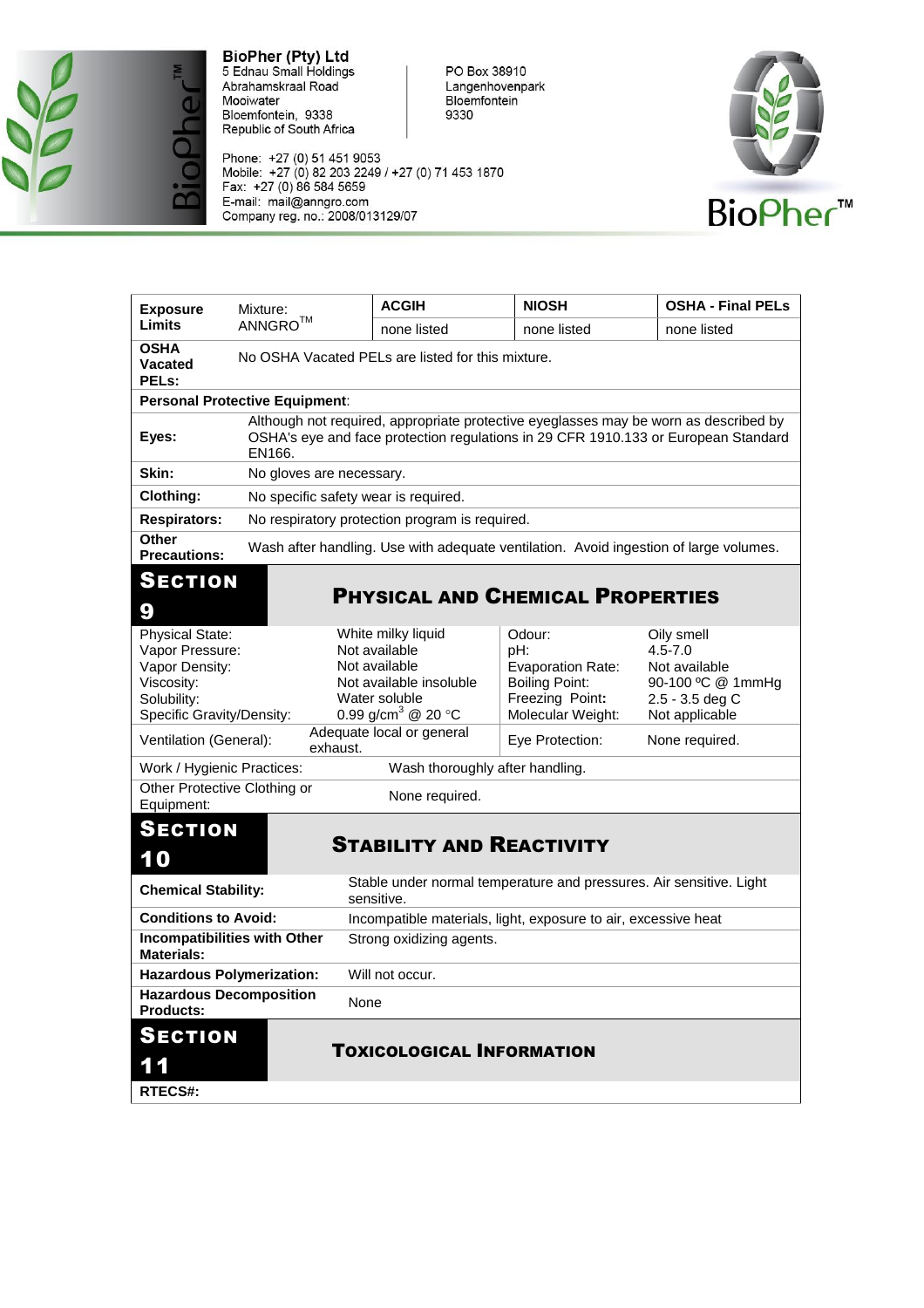

Phone: +27 (0) 51 451 9053<br>Mobile: +27 (0) 82 203 2249 / +27 (0) 71 453 1870<br>Fax: +27 (0) 86 584 5659 E-mail: mail@anngro.com<br>E-mail: mail@anngro.com<br>Company reg. no.: 2008/013129/07



| <b>Exposure</b>                                                                                                       | Mixture:                                          | <b>ACGIH</b>                                                                                                                       | <b>NIOSH</b>                                                                                                                                                               | <b>OSHA - Final PELs</b>                                                                             |  |
|-----------------------------------------------------------------------------------------------------------------------|---------------------------------------------------|------------------------------------------------------------------------------------------------------------------------------------|----------------------------------------------------------------------------------------------------------------------------------------------------------------------------|------------------------------------------------------------------------------------------------------|--|
| Limits                                                                                                                | $ANNGRO^{TM}$                                     | none listed                                                                                                                        | none listed                                                                                                                                                                | none listed                                                                                          |  |
| <b>OSHA</b><br><b>Vacated</b><br>PELs:                                                                                | No OSHA Vacated PELs are listed for this mixture. |                                                                                                                                    |                                                                                                                                                                            |                                                                                                      |  |
|                                                                                                                       | <b>Personal Protective Equipment:</b>             |                                                                                                                                    |                                                                                                                                                                            |                                                                                                      |  |
| Eyes:                                                                                                                 | EN166.                                            |                                                                                                                                    | Although not required, appropriate protective eyeglasses may be worn as described by<br>OSHA's eye and face protection regulations in 29 CFR 1910.133 or European Standard |                                                                                                      |  |
| Skin:                                                                                                                 | No gloves are necessary.                          |                                                                                                                                    |                                                                                                                                                                            |                                                                                                      |  |
| <b>Clothing:</b>                                                                                                      | No specific safety wear is required.              |                                                                                                                                    |                                                                                                                                                                            |                                                                                                      |  |
| <b>Respirators:</b>                                                                                                   | No respiratory protection program is required.    |                                                                                                                                    |                                                                                                                                                                            |                                                                                                      |  |
| <b>Other</b><br><b>Precautions:</b>                                                                                   |                                                   |                                                                                                                                    | Wash after handling. Use with adequate ventilation. Avoid ingestion of large volumes.                                                                                      |                                                                                                      |  |
| SECTION<br>9                                                                                                          |                                                   |                                                                                                                                    | <b>PHYSICAL AND CHEMICAL PROPERTIES</b>                                                                                                                                    |                                                                                                      |  |
| <b>Physical State:</b><br>Vapor Pressure:<br>Vapor Density:<br>Viscosity:<br>Solubility:<br>Specific Gravity/Density: |                                                   | White milky liquid<br>Not available<br>Not available<br>Not available insoluble<br>Water soluble<br>0.99 g/cm <sup>3</sup> @ 20 °C | Odour:<br>pH:<br><b>Evaporation Rate:</b><br><b>Boiling Point:</b><br>Freezing Point:<br>Molecular Weight:                                                                 | Oily smell<br>$4.5 - 7.0$<br>Not available<br>90-100 °C @ 1mmHg<br>2.5 - 3.5 deg C<br>Not applicable |  |
| Ventilation (General):                                                                                                | exhaust.                                          | Adequate local or general                                                                                                          | Eye Protection:                                                                                                                                                            | None required.                                                                                       |  |
| Work / Hygienic Practices:                                                                                            |                                                   | Wash thoroughly after handling.                                                                                                    |                                                                                                                                                                            |                                                                                                      |  |
| Other Protective Clothing or<br>Equipment:                                                                            |                                                   | None required.                                                                                                                     |                                                                                                                                                                            |                                                                                                      |  |
| <b>SECTION</b><br>10                                                                                                  |                                                   | <b>STABILITY AND REACTIVITY</b>                                                                                                    |                                                                                                                                                                            |                                                                                                      |  |
| <b>Chemical Stability:</b>                                                                                            |                                                   | Stable under normal temperature and pressures. Air sensitive. Light<br>sensitive.                                                  |                                                                                                                                                                            |                                                                                                      |  |
| <b>Conditions to Avoid:</b>                                                                                           |                                                   | Incompatible materials, light, exposure to air, excessive heat                                                                     |                                                                                                                                                                            |                                                                                                      |  |
| <b>Incompatibilities with Other</b><br><b>Materials:</b>                                                              |                                                   | Strong oxidizing agents.                                                                                                           |                                                                                                                                                                            |                                                                                                      |  |
| <b>Hazardous Polymerization:</b>                                                                                      |                                                   | Will not occur.                                                                                                                    |                                                                                                                                                                            |                                                                                                      |  |
| <b>Hazardous Decomposition</b><br><b>Products:</b>                                                                    | None                                              |                                                                                                                                    |                                                                                                                                                                            |                                                                                                      |  |
| <b>SECTION</b><br>11<br><b>RTECS#:</b>                                                                                |                                                   | <b>TOXICOLOGICAL INFORMATION</b>                                                                                                   |                                                                                                                                                                            |                                                                                                      |  |

PO Box 38910<br>Langenhovenpark Bloemfontein 9330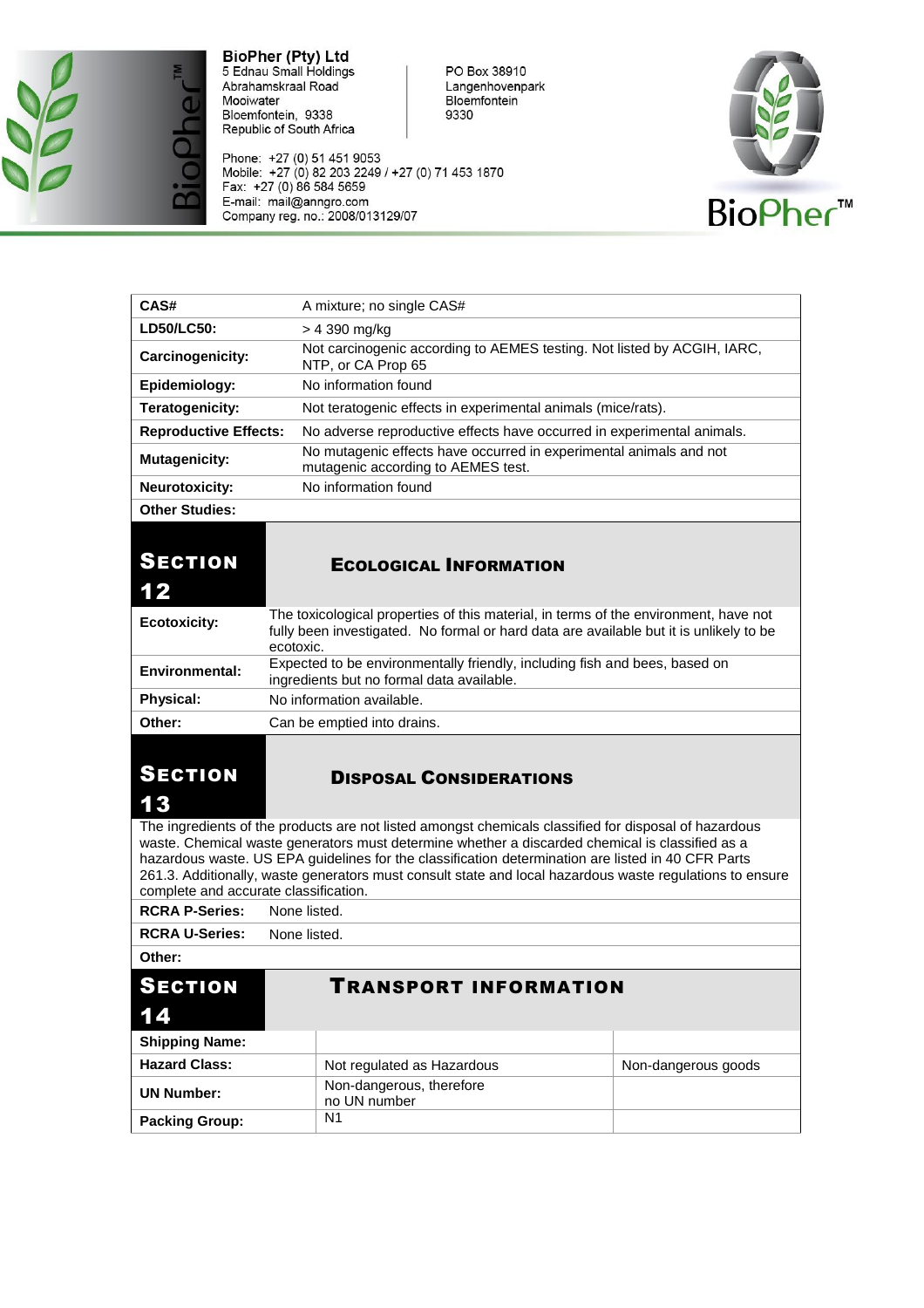

Phone: +27 (0) 51 451 9053<br>Mobile: +27 (0) 82 203 2249 / +27 (0) 71 453 1870<br>Fax: +27 (0) 86 584 5659 E-mail: mail@anngro.com<br>Company reg. no.: 2008/013129/07



| CAS#                                  | A mixture; no single CAS#                                                                                                                                                                                                                                                                                                                                                                                                  |                             |  |
|---------------------------------------|----------------------------------------------------------------------------------------------------------------------------------------------------------------------------------------------------------------------------------------------------------------------------------------------------------------------------------------------------------------------------------------------------------------------------|-----------------------------|--|
| LD50/LC50:                            | > 4 390 mg/kg                                                                                                                                                                                                                                                                                                                                                                                                              |                             |  |
| Carcinogenicity:                      | Not carcinogenic according to AEMES testing. Not listed by ACGIH, IARC,<br>NTP, or CA Prop 65                                                                                                                                                                                                                                                                                                                              |                             |  |
| Epidemiology:                         | No information found                                                                                                                                                                                                                                                                                                                                                                                                       |                             |  |
| Teratogenicity:                       | Not teratogenic effects in experimental animals (mice/rats).                                                                                                                                                                                                                                                                                                                                                               |                             |  |
| <b>Reproductive Effects:</b>          | No adverse reproductive effects have occurred in experimental animals.                                                                                                                                                                                                                                                                                                                                                     |                             |  |
| <b>Mutagenicity:</b>                  | No mutagenic effects have occurred in experimental animals and not<br>mutagenic according to AEMES test.                                                                                                                                                                                                                                                                                                                   |                             |  |
| Neurotoxicity:                        | No information found                                                                                                                                                                                                                                                                                                                                                                                                       |                             |  |
| <b>Other Studies:</b>                 |                                                                                                                                                                                                                                                                                                                                                                                                                            |                             |  |
| <b>SECTION</b><br>12                  | <b>ECOLOGICAL INFORMATION</b>                                                                                                                                                                                                                                                                                                                                                                                              |                             |  |
| <b>Ecotoxicity:</b>                   | The toxicological properties of this material, in terms of the environment, have not<br>fully been investigated. No formal or hard data are available but it is unlikely to be<br>ecotoxic.                                                                                                                                                                                                                                |                             |  |
| Environmental:                        | Expected to be environmentally friendly, including fish and bees, based on<br>ingredients but no formal data available.                                                                                                                                                                                                                                                                                                    |                             |  |
| <b>Physical:</b>                      | No information available.                                                                                                                                                                                                                                                                                                                                                                                                  |                             |  |
|                                       |                                                                                                                                                                                                                                                                                                                                                                                                                            | Can be emptied into drains. |  |
| Other:                                |                                                                                                                                                                                                                                                                                                                                                                                                                            |                             |  |
| <b>SECTION</b><br>13                  | <b>DISPOSAL CONSIDERATIONS</b>                                                                                                                                                                                                                                                                                                                                                                                             |                             |  |
| complete and accurate classification. | The ingredients of the products are not listed amongst chemicals classified for disposal of hazardous<br>waste. Chemical waste generators must determine whether a discarded chemical is classified as a<br>hazardous waste. US EPA guidelines for the classification determination are listed in 40 CFR Parts<br>261.3. Additionally, waste generators must consult state and local hazardous waste regulations to ensure |                             |  |
| <b>RCRA P-Series:</b>                 | None listed.                                                                                                                                                                                                                                                                                                                                                                                                               |                             |  |
| <b>RCRA U-Series:</b>                 | None listed.                                                                                                                                                                                                                                                                                                                                                                                                               |                             |  |
| Other:                                |                                                                                                                                                                                                                                                                                                                                                                                                                            |                             |  |
| <b>SECTION</b><br>14                  | TRANSPORT INFORMATION                                                                                                                                                                                                                                                                                                                                                                                                      |                             |  |
| <b>Shipping Name:</b>                 |                                                                                                                                                                                                                                                                                                                                                                                                                            |                             |  |
| <b>Hazard Class:</b>                  | Non-dangerous goods<br>Not regulated as Hazardous                                                                                                                                                                                                                                                                                                                                                                          |                             |  |
| <b>UN Number:</b>                     | Non-dangerous, therefore<br>no UN number<br>N <sub>1</sub>                                                                                                                                                                                                                                                                                                                                                                 |                             |  |

PO Box 38910<br>Langenhovenpark Bloemfontein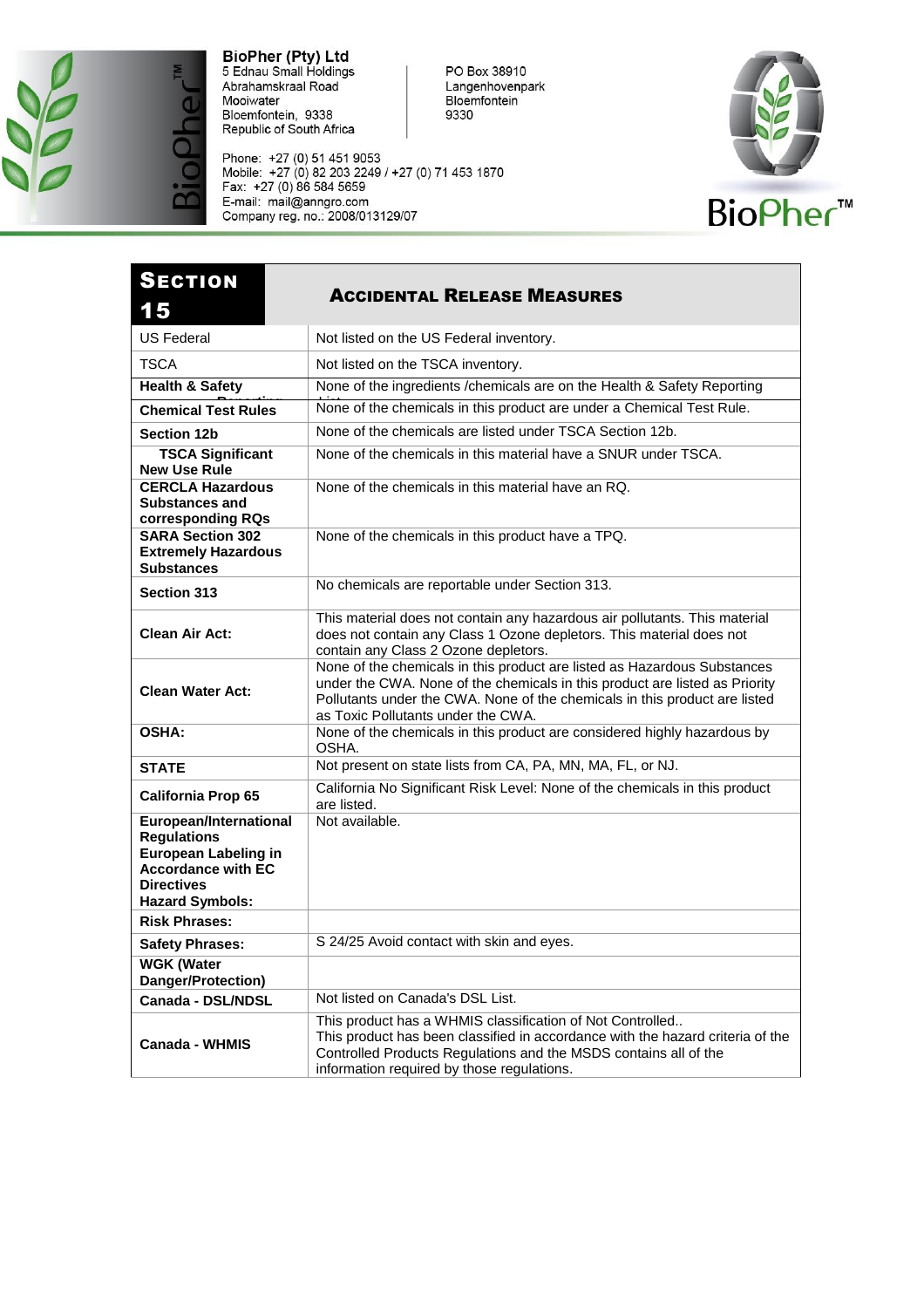

Phone: +27 (0) 51 451 9053<br>Mobile: +27 (0) 82 203 2249 / +27 (0) 71 453 1870<br>Fax: +27 (0) 86 584 5659 E-mail: mail@anngro.com<br>E-mail: mail@anngro.com<br>Company reg. no.: 2008/013129/07



| <b>SECTION</b><br>15                                                                                                                             | <b>ACCIDENTAL RELEASE MEASURES</b>                                                                                                                                                                                                                                          |
|--------------------------------------------------------------------------------------------------------------------------------------------------|-----------------------------------------------------------------------------------------------------------------------------------------------------------------------------------------------------------------------------------------------------------------------------|
| <b>US Federal</b>                                                                                                                                | Not listed on the US Federal inventory.                                                                                                                                                                                                                                     |
| <b>TSCA</b>                                                                                                                                      | Not listed on the TSCA inventory.                                                                                                                                                                                                                                           |
| <b>Health &amp; Safety</b>                                                                                                                       | None of the ingredients /chemicals are on the Health & Safety Reporting                                                                                                                                                                                                     |
| <b>Chemical Test Rules</b>                                                                                                                       | None of the chemicals in this product are under a Chemical Test Rule.                                                                                                                                                                                                       |
| <b>Section 12b</b>                                                                                                                               | None of the chemicals are listed under TSCA Section 12b.                                                                                                                                                                                                                    |
| <b>TSCA Significant</b><br><b>New Use Rule</b>                                                                                                   | None of the chemicals in this material have a SNUR under TSCA.                                                                                                                                                                                                              |
| <b>CERCLA Hazardous</b><br><b>Substances and</b><br>corresponding RQs                                                                            | None of the chemicals in this material have an RQ.                                                                                                                                                                                                                          |
| <b>SARA Section 302</b><br><b>Extremely Hazardous</b><br><b>Substances</b>                                                                       | None of the chemicals in this product have a TPQ.                                                                                                                                                                                                                           |
| <b>Section 313</b>                                                                                                                               | No chemicals are reportable under Section 313.                                                                                                                                                                                                                              |
| <b>Clean Air Act:</b>                                                                                                                            | This material does not contain any hazardous air pollutants. This material<br>does not contain any Class 1 Ozone depletors. This material does not<br>contain any Class 2 Ozone depletors.                                                                                  |
| <b>Clean Water Act:</b>                                                                                                                          | None of the chemicals in this product are listed as Hazardous Substances<br>under the CWA. None of the chemicals in this product are listed as Priority<br>Pollutants under the CWA. None of the chemicals in this product are listed<br>as Toxic Pollutants under the CWA. |
| OSHA:                                                                                                                                            | None of the chemicals in this product are considered highly hazardous by<br>OSHA.                                                                                                                                                                                           |
| <b>STATE</b>                                                                                                                                     | Not present on state lists from CA, PA, MN, MA, FL, or NJ.                                                                                                                                                                                                                  |
| <b>California Prop 65</b>                                                                                                                        | California No Significant Risk Level: None of the chemicals in this product<br>are listed.                                                                                                                                                                                  |
| European/International<br><b>Regulations</b><br>European Labeling in<br><b>Accordance with EC</b><br><b>Directives</b><br><b>Hazard Symbols:</b> | Not available.                                                                                                                                                                                                                                                              |
| <b>Risk Phrases:</b>                                                                                                                             |                                                                                                                                                                                                                                                                             |
| <b>Safety Phrases:</b>                                                                                                                           | S 24/25 Avoid contact with skin and eyes.                                                                                                                                                                                                                                   |
| <b>WGK (Water</b><br>Danger/Protection)                                                                                                          |                                                                                                                                                                                                                                                                             |
| Canada - DSL/NDSL                                                                                                                                | Not listed on Canada's DSL List.                                                                                                                                                                                                                                            |
| Canada - WHMIS                                                                                                                                   | This product has a WHMIS classification of Not Controlled<br>This product has been classified in accordance with the hazard criteria of the<br>Controlled Products Regulations and the MSDS contains all of the<br>information required by those regulations.               |

PO Box 38910<br>Langenhovenpark Bloemfontein